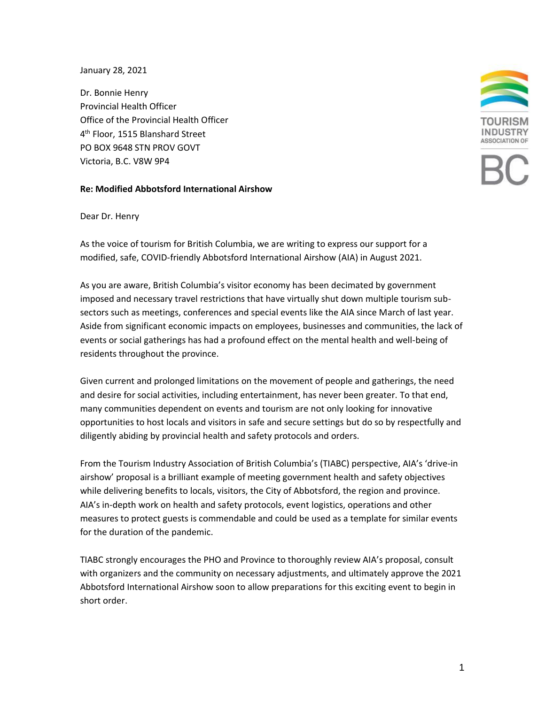## January 28, 2021

Dr. Bonnie Henry Provincial Health Officer Office of the Provincial Health Officer 4 th Floor, 1515 Blanshard Street PO BOX 9648 STN PROV GOVT Victoria, B.C. V8W 9P4

## **Re: Modified Abbotsford International Airshow**



## Dear Dr. Henry

As the voice of tourism for British Columbia, we are writing to express our support for a modified, safe, COVID-friendly Abbotsford International Airshow (AIA) in August 2021.

As you are aware, British Columbia's visitor economy has been decimated by government imposed and necessary travel restrictions that have virtually shut down multiple tourism subsectors such as meetings, conferences and special events like the AIA since March of last year. Aside from significant economic impacts on employees, businesses and communities, the lack of events or social gatherings has had a profound effect on the mental health and well-being of residents throughout the province.

Given current and prolonged limitations on the movement of people and gatherings, the need and desire for social activities, including entertainment, has never been greater. To that end, many communities dependent on events and tourism are not only looking for innovative opportunities to host locals and visitors in safe and secure settings but do so by respectfully and diligently abiding by provincial health and safety protocols and orders.

From the Tourism Industry Association of British Columbia's (TIABC) perspective, AIA's 'drive-in airshow' proposal is a brilliant example of meeting government health and safety objectives while delivering benefits to locals, visitors, the City of Abbotsford, the region and province. AIA's in-depth work on health and safety protocols, event logistics, operations and other measures to protect guests is commendable and could be used as a template for similar events for the duration of the pandemic.

TIABC strongly encourages the PHO and Province to thoroughly review AIA's proposal, consult with organizers and the community on necessary adjustments, and ultimately approve the 2021 Abbotsford International Airshow soon to allow preparations for this exciting event to begin in short order.